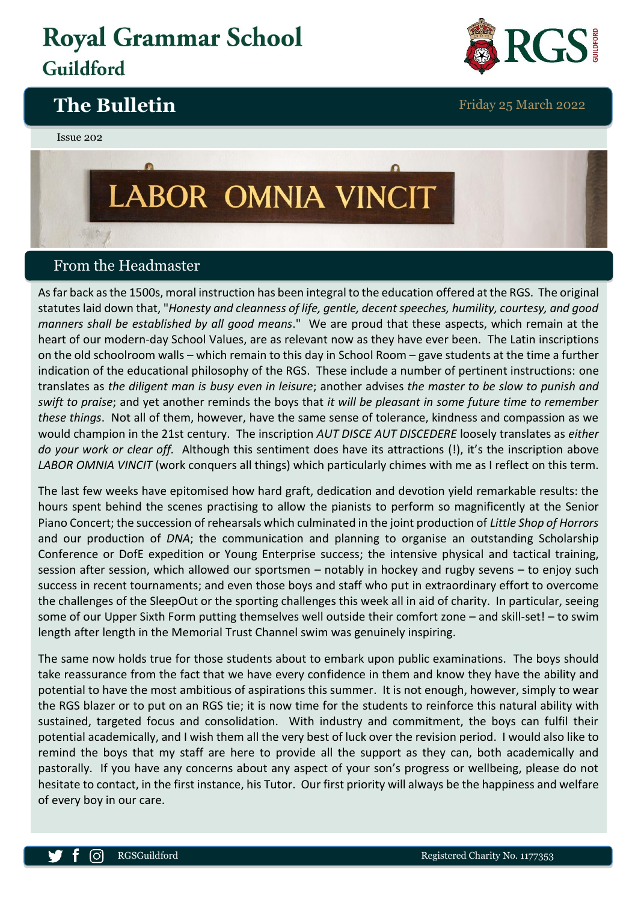## **Royal Grammar School** Guildford



### **The Bulletin** Friday 25 March 2022

#### Issue 202

# LABOR OMNIA VINCIT

#### From the Headmaster

As far back as the 1500s, moral instruction has been integral to the education offered at the RGS. The original statutes laid down that, "*Honesty and cleanness of life, gentle, decent speeches, humility, courtesy, and good manners shall be established by all good means*." We are proud that these aspects, which remain at the heart of our modern-day School Values, are as relevant now as they have ever been. The Latin inscriptions on the old schoolroom walls – which remain to this day in School Room – gave students at the time a further indication of the educational philosophy of the RGS. These include a number of pertinent instructions: one translates as *the diligent man is busy even in leisure*; another advises *the master to be slow to punish and swift to praise*; and yet another reminds the boys that *it will be pleasant in some future time to remember these things*. Not all of them, however, have the same sense of tolerance, kindness and compassion as we would champion in the 21st century. The inscription *AUT DISCE AUT DISCEDERE* loosely translates as *either do your work or clear off.* Although this sentiment does have its attractions (!), it's the inscription above *LABOR OMNIA VINCIT* (work conquers all things) which particularly chimes with me as I reflect on this term.

The last few weeks have epitomised how hard graft, dedication and devotion yield remarkable results: the hours spent behind the scenes practising to allow the pianists to perform so magnificently at the Senior Piano Concert; the succession of rehearsals which culminated in the joint production of *Little Shop of Horrors* and our production of *DNA*; the communication and planning to organise an outstanding Scholarship Conference or DofE expedition or Young Enterprise success; the intensive physical and tactical training, session after session, which allowed our sportsmen – notably in hockey and rugby sevens – to enjoy such success in recent tournaments; and even those boys and staff who put in extraordinary effort to overcome the challenges of the SleepOut or the sporting challenges this week all in aid of charity. In particular, seeing some of our Upper Sixth Form putting themselves well outside their comfort zone – and skill-set! – to swim length after length in the Memorial Trust Channel swim was genuinely inspiring.

The same now holds true for those students about to embark upon public examinations. The boys should take reassurance from the fact that we have every confidence in them and know they have the ability and potential to have the most ambitious of aspirations this summer. It is not enough, however, simply to wear the RGS blazer or to put on an RGS tie; it is now time for the students to reinforce this natural ability with sustained, targeted focus and consolidation. With industry and commitment, the boys can fulfil their potential academically, and I wish them all the very best of luck over the revision period. I would also like to remind the boys that my staff are here to provide all the support as they can, both academically and pastorally. If you have any concerns about any aspect of your son's progress or wellbeing, please do not hesitate to contact, in the first instance, his Tutor. Our first priority will always be the happiness and welfare of every boy in our care.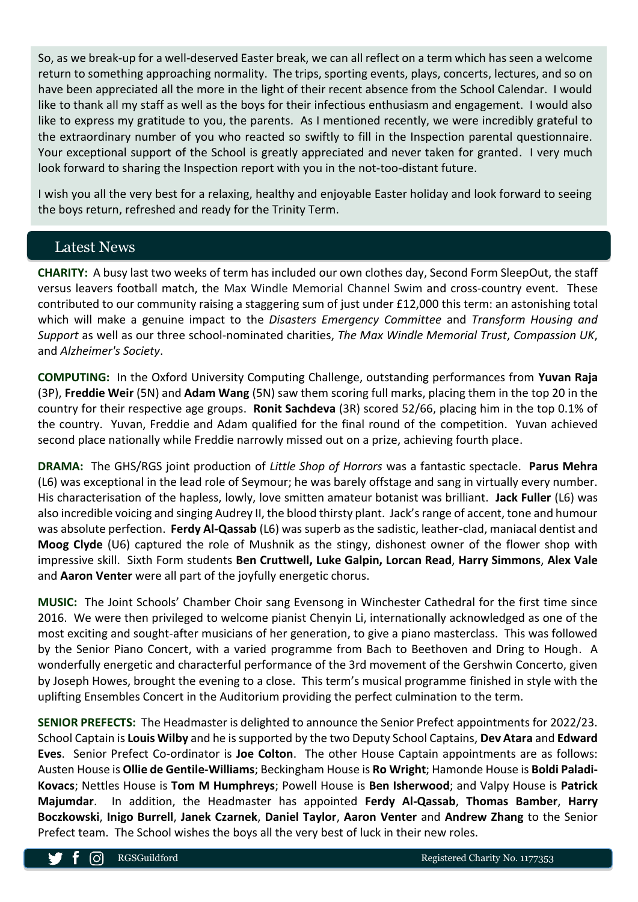So, as we break-up for a well-deserved Easter break, we can all reflect on a term which has seen a welcome return to something approaching normality. The trips, sporting events, plays, concerts, lectures, and so on have been appreciated all the more in the light of their recent absence from the School Calendar. I would like to thank all my staff as well as the boys for their infectious enthusiasm and engagement. I would also like to express my gratitude to you, the parents. As I mentioned recently, we were incredibly grateful to the extraordinary number of you who reacted so swiftly to fill in the Inspection parental questionnaire. Your exceptional support of the School is greatly appreciated and never taken for granted. I very much look forward to sharing the Inspection report with you in the not-too-distant future.

I wish you all the very best for a relaxing, healthy and enjoyable Easter holiday and look forward to seeing the boys return, refreshed and ready for the Trinity Term.

#### Latest News

**CHARITY:** A busy last two weeks of term has included our own clothes day, Second Form SleepOut, the staff versus leavers football match, the Max Windle Memorial Channel Swim and cross-country event. These contributed to our community raising a staggering sum of just under £12,000 this term: an astonishing total which will make a genuine impact to the *Disasters Emergency Committee* and *Transform Housing and Support* as well as our three school-nominated charities, *The Max Windle Memorial Trust*, *Compassion UK*, and *Alzheimer's Society*.

**COMPUTING:** In the Oxford University Computing Challenge, outstanding performances from **Yuvan Raja** (3P), **Freddie Weir** (5N) and **Adam Wang** (5N) saw them scoring full marks, placing them in the top 20 in the country for their respective age groups. **Ronit Sachdeva** (3R) scored 52/66, placing him in the top 0.1% of the country. Yuvan, Freddie and Adam qualified for the final round of the competition. Yuvan achieved second place nationally while Freddie narrowly missed out on a prize, achieving fourth place.

**DRAMA:** The GHS/RGS joint production of *Little Shop of Horrors* was a fantastic spectacle. **Parus Mehra** (L6) was exceptional in the lead role of Seymour; he was barely offstage and sang in virtually every number. His characterisation of the hapless, lowly, love smitten amateur botanist was brilliant. **Jack Fuller** (L6) was also incredible voicing and singing Audrey II, the blood thirsty plant. Jack's range of accent, tone and humour was absolute perfection. **Ferdy Al-Qassab** (L6) was superb as the sadistic, leather-clad, maniacal dentist and **Moog Clyde** (U6) captured the role of Mushnik as the stingy, dishonest owner of the flower shop with impressive skill. Sixth Form students **Ben Cruttwell, Luke Galpin, Lorcan Read**, **Harry Simmons**, **Alex Vale** and **Aaron Venter** were all part of the joyfully energetic chorus.

**MUSIC:** The Joint Schools' Chamber Choir sang Evensong in Winchester Cathedral for the first time since 2016. We were then privileged to welcome pianist Chenyin Li, internationally acknowledged as one of the most exciting and sought-after musicians of her generation, to give a piano masterclass. This was followed by the Senior Piano Concert, with a varied programme from Bach to Beethoven and Dring to Hough. A wonderfully energetic and characterful performance of the 3rd movement of the Gershwin Concerto, given by Joseph Howes, brought the evening to a close. This term's musical programme finished in style with the uplifting Ensembles Concert in the Auditorium providing the perfect culmination to the term.

**SENIOR PREFECTS:** The Headmaster is delighted to announce the Senior Prefect appointments for 2022/23. School Captain is **Louis Wilby** and he is supported by the two Deputy School Captains, **Dev Atara** and **Edward Eves**. Senior Prefect Co-ordinator is **Joe Colton**. The other House Captain appointments are as follows: Austen House is **Ollie de Gentile-Williams**; Beckingham House is **Ro Wright**; Hamonde House is **Boldi Paladi-Kovacs**; Nettles House is **Tom M Humphreys**; Powell House is **Ben Isherwood**; and Valpy House is **Patrick Majumdar**. In addition, the Headmaster has appointed **Ferdy Al-Qassab**, **Thomas Bamber**, **Harry Boczkowski**, **Inigo Burrell**, **Janek Czarnek**, **Daniel Taylor**, **Aaron Venter** and **Andrew Zhang** to the Senior Prefect team. The School wishes the boys all the very best of luck in their new roles.